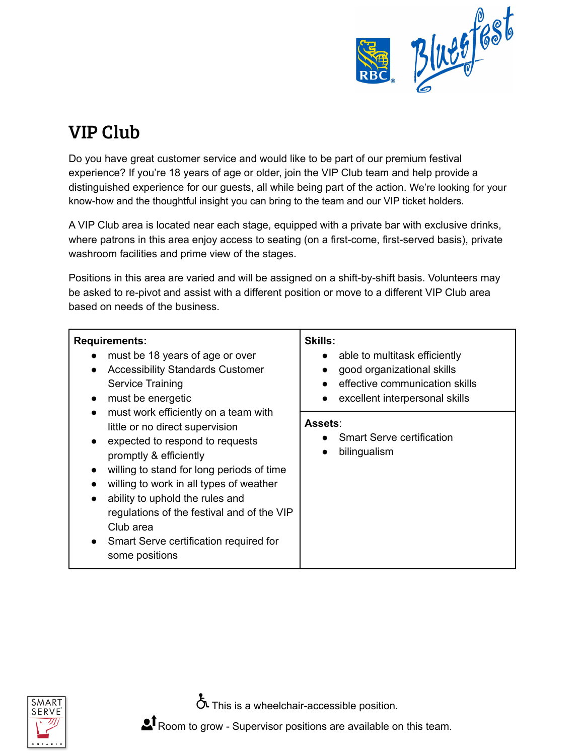

## VIP Club

Do you have great customer service and would like to be part of our premium festival experience? If you're 18 years of age or older, join the VIP Club team and help provide a distinguished experience for our guests, all while being part of the action. We're looking for your know-how and the thoughtful insight you can bring to the team and our VIP ticket holders.

A VIP Club area is located near each stage, equipped with a private bar with exclusive drinks, where patrons in this area enjoy access to seating (on a first-come, first-served basis), private washroom facilities and prime view of the stages.

Positions in this area are varied and will be assigned on a shift-by-shift basis. Volunteers may be asked to re-pivot and assist with a different position or move to a different VIP Club area based on needs of the business.

| <b>Requirements:</b><br>must be 18 years of age or over<br>$\bullet$<br><b>Accessibility Standards Customer</b><br>$\bullet$<br><b>Service Training</b><br>must be energetic<br>$\bullet$<br>must work efficiently on a team with<br>$\bullet$                                                                                                                                                                  | <b>Skills:</b><br>able to multitask efficiently<br>good organizational skills<br>$\bullet$<br>effective communication skills<br>excellent interpersonal skills |
|-----------------------------------------------------------------------------------------------------------------------------------------------------------------------------------------------------------------------------------------------------------------------------------------------------------------------------------------------------------------------------------------------------------------|----------------------------------------------------------------------------------------------------------------------------------------------------------------|
| little or no direct supervision<br>expected to respond to requests<br>$\bullet$<br>promptly & efficiently<br>willing to stand for long periods of time<br>$\bullet$<br>willing to work in all types of weather<br>$\bullet$<br>ability to uphold the rules and<br>$\bullet$<br>regulations of the festival and of the VIP<br>Club area<br>Smart Serve certification required for<br>$\bullet$<br>some positions | Assets:<br><b>Smart Serve certification</b><br>bilingualism<br>$\bullet$                                                                                       |



 $\overset{\bullet}{\mathbf{C}}$  This is a wheelchair-accessible position.